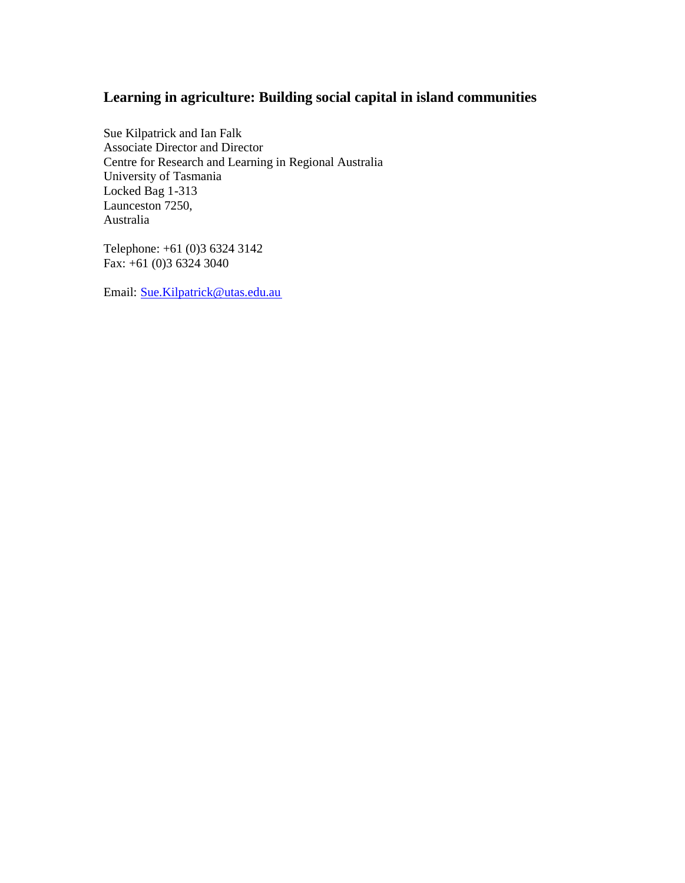# **Learning in agriculture: Building social capital in island communities**

Sue Kilpatrick and Ian Falk Associate Director and Director Centre for Research and Learning in Regional Australia University of Tasmania Locked Bag 1-313 Launceston 7250, Australia

Telephone: +61 (0)3 6324 3142 Fax:  $+61$  (0)3 6324 3040

Email: Sue.Kilpatr[ick@utas.edu.au](Kilpatrick@utas.edu.au)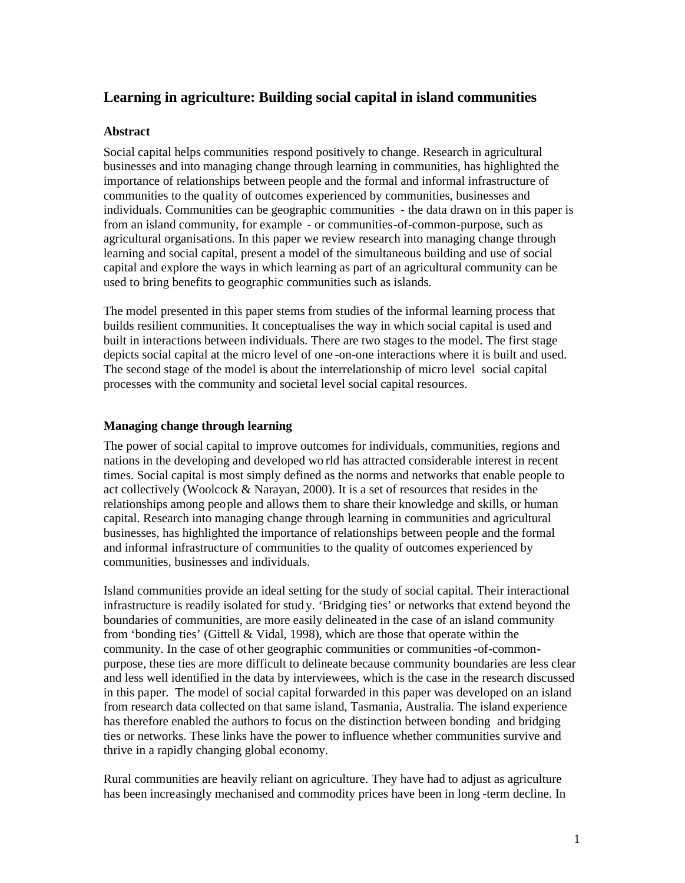## **Learning in agriculture: Building social capital in island communities**

#### **Abstract**

Social capital helps communities respond positively to change. Research in agricultural businesses and into managing change through learning in communities, has highlighted the importance of relationships between people and the formal and informal infrastructure of communities to the quality of outcomes experienced by communities, businesses and individuals. Communities can be geographic communities - the data drawn on in this paper is from an island community, for example - or communities-of-common-purpose, such as agricultural organisations. In this paper we review research into managing change through learning and social capital, present a model of the simultaneous building and use of social capital and explore the ways in which learning as part of an agricultural community can be used to bring benefits to geographic communities such as islands.

The model presented in this paper stems from studies of the informal learning process that builds resilient communities. It conceptualises the way in which social capital is used and built in interactions between individuals. There are two stages to the model. The first stage depicts social capital at the micro level of one -on-one interactions where it is built and used. The second stage of the model is about the interrelationship of micro level social capital processes with the community and societal level social capital resources.

#### **Managing change through learning**

The power of social capital to improve outcomes for individuals, communities, regions and nations in the developing and developed wo rld has attracted considerable interest in recent times. Social capital is most simply defined as the norms and networks that enable people to act collectively (Woolcock & Narayan, 2000). It is a set of resources that resides in the relationships among people and allows them to share their knowledge and skills, or human capital. Research into managing change through learning in communities and agricultural businesses, has highlighted the importance of relationships between people and the formal and informal infrastructure of communities to the quality of outcomes experienced by communities, businesses and individuals.

Island communities provide an ideal setting for the study of social capital. Their interactional infrastructure is readily isolated for stud y. 'Bridging ties' or networks that extend beyond the boundaries of communities, are more easily delineated in the case of an island community from 'bonding ties' (Gittell & Vidal, 1998), which are those that operate within the community. In the case of other geographic communities or communities-of-commonpurpose, these ties are more difficult to delineate because community boundaries are less clear and less well identified in the data by interviewees, which is the case in the research discussed in this paper. The model of social capital forwarded in this paper was developed on an island from research data collected on that same island, Tasmania, Australia. The island experience has therefore enabled the authors to focus on the distinction between bonding and bridging ties or networks. These links have the power to influence whether communities survive and thrive in a rapidly changing global economy.

Rural communities are heavily reliant on agriculture. They have had to adjust as agriculture has been increasingly mechanised and commodity prices have been in long -term decline. In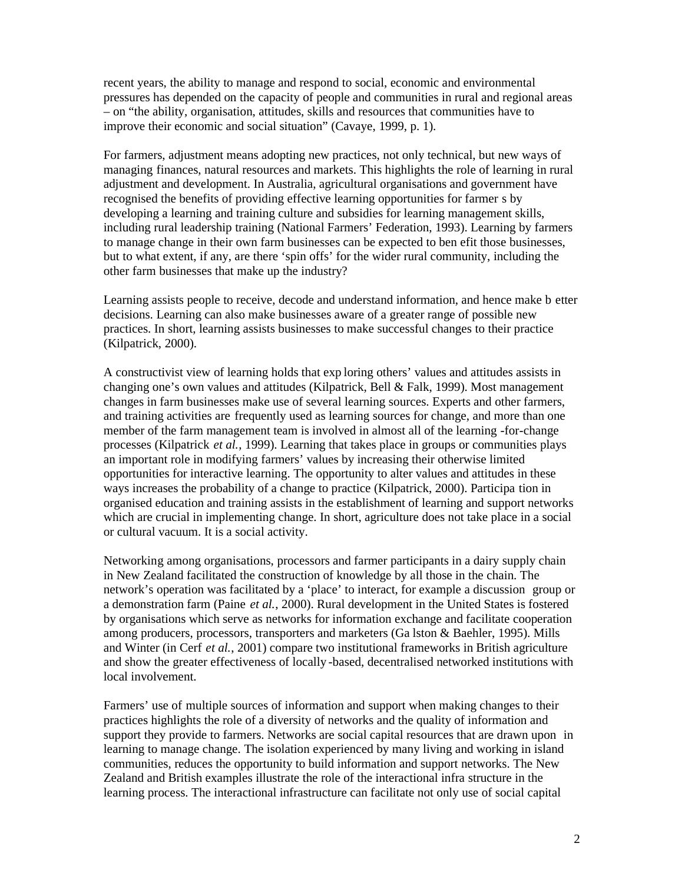recent years, the ability to manage and respond to social, economic and environmental pressures has depended on the capacity of people and communities in rural and regional areas – on "the ability, organisation, attitudes, skills and resources that communities have to improve their economic and social situation" (Cavaye, 1999, p. 1).

For farmers, adjustment means adopting new practices, not only technical, but new ways of managing finances, natural resources and markets. This highlights the role of learning in rural adjustment and development. In Australia, agricultural organisations and government have recognised the benefits of providing effective learning opportunities for farmer s by developing a learning and training culture and subsidies for learning management skills, including rural leadership training (National Farmers' Federation, 1993). Learning by farmers to manage change in their own farm businesses can be expected to ben efit those businesses, but to what extent, if any, are there 'spin offs' for the wider rural community, including the other farm businesses that make up the industry?

Learning assists people to receive, decode and understand information, and hence make b etter decisions. Learning can also make businesses aware of a greater range of possible new practices. In short, learning assists businesses to make successful changes to their practice (Kilpatrick, 2000).

A constructivist view of learning holds that exp loring others' values and attitudes assists in changing one's own values and attitudes (Kilpatrick, Bell & Falk, 1999). Most management changes in farm businesses make use of several learning sources. Experts and other farmers, and training activities are frequently used as learning sources for change, and more than one member of the farm management team is involved in almost all of the learning -for-change processes (Kilpatrick *et al.*, 1999). Learning that takes place in groups or communities plays an important role in modifying farmers' values by increasing their otherwise limited opportunities for interactive learning. The opportunity to alter values and attitudes in these ways increases the probability of a change to practice (Kilpatrick, 2000). Participa tion in organised education and training assists in the establishment of learning and support networks which are crucial in implementing change. In short, agriculture does not take place in a social or cultural vacuum. It is a social activity.

Networking among organisations, processors and farmer participants in a dairy supply chain in New Zealand facilitated the construction of knowledge by all those in the chain. The network's operation was facilitated by a 'place' to interact, for example a discussion group or a demonstration farm (Paine *et al.*, 2000). Rural development in the United States is fostered by organisations which serve as networks for information exchange and facilitate cooperation among producers, processors, transporters and marketers (Ga lston & Baehler, 1995). Mills and Winter (in Cerf *et al.*, 2001) compare two institutional frameworks in British agriculture and show the greater effectiveness of locally -based, decentralised networked institutions with local involvement.

Farmers' use of multiple sources of information and support when making changes to their practices highlights the role of a diversity of networks and the quality of information and support they provide to farmers. Networks are social capital resources that are drawn upon in learning to manage change. The isolation experienced by many living and working in island communities, reduces the opportunity to build information and support networks. The New Zealand and British examples illustrate the role of the interactional infra structure in the learning process. The interactional infrastructure can facilitate not only use of social capital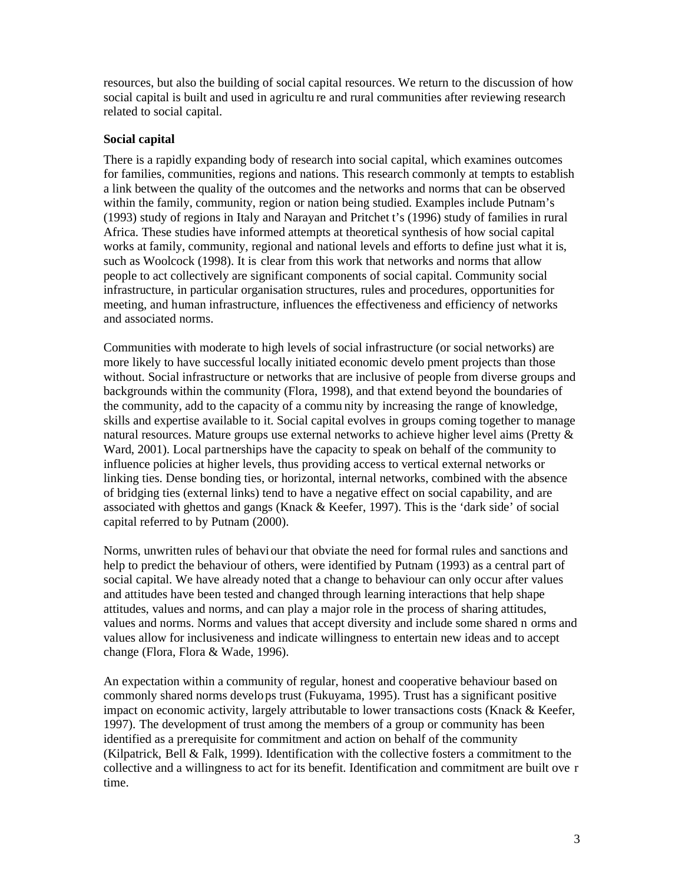resources, but also the building of social capital resources. We return to the discussion of how social capital is built and used in agricultu re and rural communities after reviewing research related to social capital.

### **Social capital**

There is a rapidly expanding body of research into social capital, which examines outcomes for families, communities, regions and nations. This research commonly at tempts to establish a link between the quality of the outcomes and the networks and norms that can be observed within the family, community, region or nation being studied. Examples include Putnam's (1993) study of regions in Italy and Narayan and Pritchet t's (1996) study of families in rural Africa. These studies have informed attempts at theoretical synthesis of how social capital works at family, community, regional and national levels and efforts to define just what it is, such as Woolcock (1998). It is clear from this work that networks and norms that allow people to act collectively are significant components of social capital. Community social infrastructure, in particular organisation structures, rules and procedures, opportunities for meeting, and human infrastructure, influences the effectiveness and efficiency of networks and associated norms.

Communities with moderate to high levels of social infrastructure (or social networks) are more likely to have successful locally initiated economic develo pment projects than those without. Social infrastructure or networks that are inclusive of people from diverse groups and backgrounds within the community (Flora, 1998), and that extend beyond the boundaries of the community, add to the capacity of a commu nity by increasing the range of knowledge, skills and expertise available to it. Social capital evolves in groups coming together to manage natural resources. Mature groups use external networks to achieve higher level aims (Pretty & Ward, 2001). Local partnerships have the capacity to speak on behalf of the community to influence policies at higher levels, thus providing access to vertical external networks or linking ties. Dense bonding ties, or horizontal, internal networks, combined with the absence of bridging ties (external links) tend to have a negative effect on social capability, and are associated with ghettos and gangs (Knack & Keefer, 1997). This is the 'dark side' of social capital referred to by Putnam (2000).

Norms, unwritten rules of behaviour that obviate the need for formal rules and sanctions and help to predict the behaviour of others, were identified by Putnam (1993) as a central part of social capital. We have already noted that a change to behaviour can only occur after values and attitudes have been tested and changed through learning interactions that help shape attitudes, values and norms, and can play a major role in the process of sharing attitudes, values and norms. Norms and values that accept diversity and include some shared n orms and values allow for inclusiveness and indicate willingness to entertain new ideas and to accept change (Flora, Flora & Wade, 1996).

An expectation within a community of regular, honest and cooperative behaviour based on commonly shared norms develops trust (Fukuyama, 1995). Trust has a significant positive impact on economic activity, largely attributable to lower transactions costs (Knack & Keefer, 1997). The development of trust among the members of a group or community has been identified as a prerequisite for commitment and action on behalf of the community (Kilpatrick, Bell & Falk, 1999). Identification with the collective fosters a commitment to the collective and a willingness to act for its benefit. Identification and commitment are built ove r time.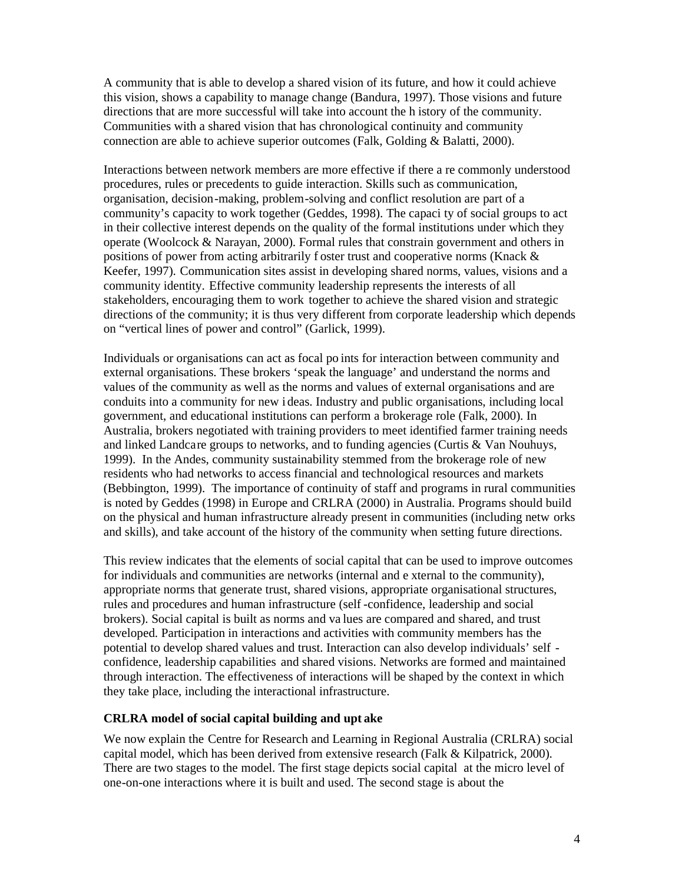A community that is able to develop a shared vision of its future, and how it could achieve this vision, shows a capability to manage change (Bandura, 1997). Those visions and future directions that are more successful will take into account the h istory of the community. Communities with a shared vision that has chronological continuity and community connection are able to achieve superior outcomes (Falk, Golding & Balatti, 2000).

Interactions between network members are more effective if there a re commonly understood procedures, rules or precedents to guide interaction. Skills such as communication, organisation, decision-making, problem-solving and conflict resolution are part of a community's capacity to work together (Geddes, 1998). The capaci ty of social groups to act in their collective interest depends on the quality of the formal institutions under which they operate (Woolcock & Narayan, 2000). Formal rules that constrain government and others in positions of power from acting arbitrarily f oster trust and cooperative norms (Knack & Keefer, 1997). Communication sites assist in developing shared norms, values, visions and a community identity. Effective community leadership represents the interests of all stakeholders, encouraging them to work together to achieve the shared vision and strategic directions of the community; it is thus very different from corporate leadership which depends on "vertical lines of power and control" (Garlick, 1999).

Individuals or organisations can act as focal po ints for interaction between community and external organisations. These brokers 'speak the language' and understand the norms and values of the community as well as the norms and values of external organisations and are conduits into a community for new i deas. Industry and public organisations, including local government, and educational institutions can perform a brokerage role (Falk, 2000). In Australia, brokers negotiated with training providers to meet identified farmer training needs and linked Landcare groups to networks, and to funding agencies (Curtis & Van Nouhuys, 1999). In the Andes, community sustainability stemmed from the brokerage role of new residents who had networks to access financial and technological resources and markets (Bebbington, 1999). The importance of continuity of staff and programs in rural communities is noted by Geddes (1998) in Europe and CRLRA (2000) in Australia. Programs should build on the physical and human infrastructure already present in communities (including netw orks and skills), and take account of the history of the community when setting future directions.

This review indicates that the elements of social capital that can be used to improve outcomes for individuals and communities are networks (internal and e xternal to the community), appropriate norms that generate trust, shared visions, appropriate organisational structures, rules and procedures and human infrastructure (self -confidence, leadership and social brokers). Social capital is built as norms and va lues are compared and shared, and trust developed. Participation in interactions and activities with community members has the potential to develop shared values and trust. Interaction can also develop individuals' self confidence, leadership capabilities and shared visions. Networks are formed and maintained through interaction. The effectiveness of interactions will be shaped by the context in which they take place, including the interactional infrastructure.

#### **CRLRA model of social capital building and upt ake**

We now explain the Centre for Research and Learning in Regional Australia (CRLRA) social capital model, which has been derived from extensive research (Falk & Kilpatrick, 2000). There are two stages to the model. The first stage depicts social capital at the micro level of one-on-one interactions where it is built and used. The second stage is about the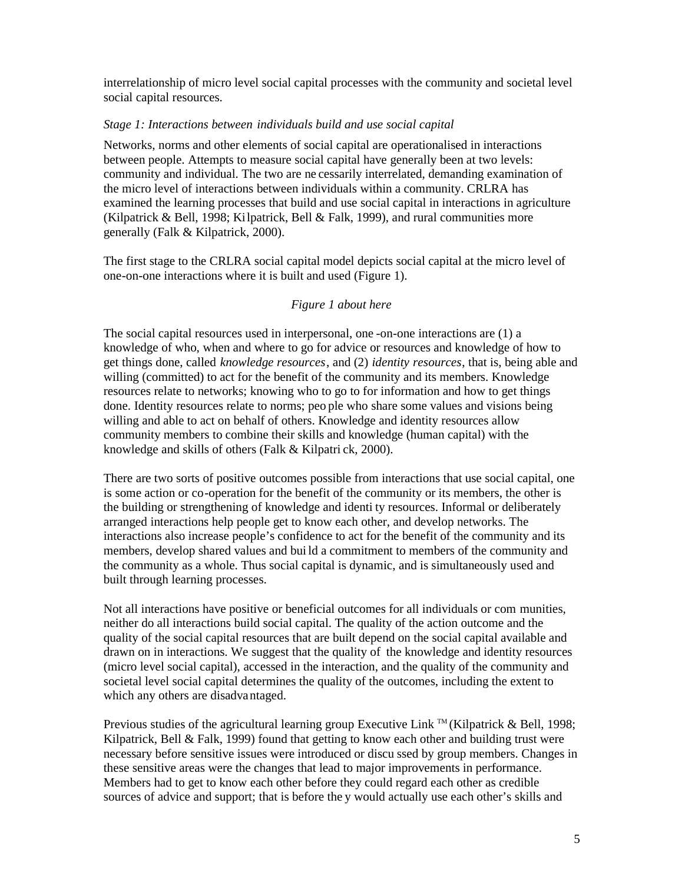interrelationship of micro level social capital processes with the community and societal level social capital resources.

#### *Stage 1: Interactions between individuals build and use social capital*

Networks, norms and other elements of social capital are operationalised in interactions between people. Attempts to measure social capital have generally been at two levels: community and individual. The two are ne cessarily interrelated, demanding examination of the micro level of interactions between individuals within a community. CRLRA has examined the learning processes that build and use social capital in interactions in agriculture (Kilpatrick & Bell, 1998; Kilpatrick, Bell & Falk, 1999), and rural communities more generally (Falk & Kilpatrick, 2000).

The first stage to the CRLRA social capital model depicts social capital at the micro level of one-on-one interactions where it is built and used (Figure 1).

#### *Figure 1 about here*

The social capital resources used in interpersonal, one -on-one interactions are (1) a knowledge of who, when and where to go for advice or resources and knowledge of how to get things done, called *knowledge resources*, and (2) *identity resources*, that is, being able and willing (committed) to act for the benefit of the community and its members. Knowledge resources relate to networks; knowing who to go to for information and how to get things done. Identity resources relate to norms; peo ple who share some values and visions being willing and able to act on behalf of others. Knowledge and identity resources allow community members to combine their skills and knowledge (human capital) with the knowledge and skills of others (Falk & Kilpatri ck, 2000).

There are two sorts of positive outcomes possible from interactions that use social capital, one is some action or co-operation for the benefit of the community or its members, the other is the building or strengthening of knowledge and identi ty resources. Informal or deliberately arranged interactions help people get to know each other, and develop networks. The interactions also increase people's confidence to act for the benefit of the community and its members, develop shared values and bui ld a commitment to members of the community and the community as a whole. Thus social capital is dynamic, and is simultaneously used and built through learning processes.

Not all interactions have positive or beneficial outcomes for all individuals or com munities, neither do all interactions build social capital. The quality of the action outcome and the quality of the social capital resources that are built depend on the social capital available and drawn on in interactions. We suggest that the quality of the knowledge and identity resources (micro level social capital), accessed in the interaction, and the quality of the community and societal level social capital determines the quality of the outcomes, including the extent to which any others are disadvantaged.

Previous studies of the agricultural learning group Executive Link  $TM$  (Kilpatrick & Bell, 1998; Kilpatrick, Bell & Falk, 1999) found that getting to know each other and building trust were necessary before sensitive issues were introduced or discu ssed by group members. Changes in these sensitive areas were the changes that lead to major improvements in performance. Members had to get to know each other before they could regard each other as credible sources of advice and support; that is before the y would actually use each other's skills and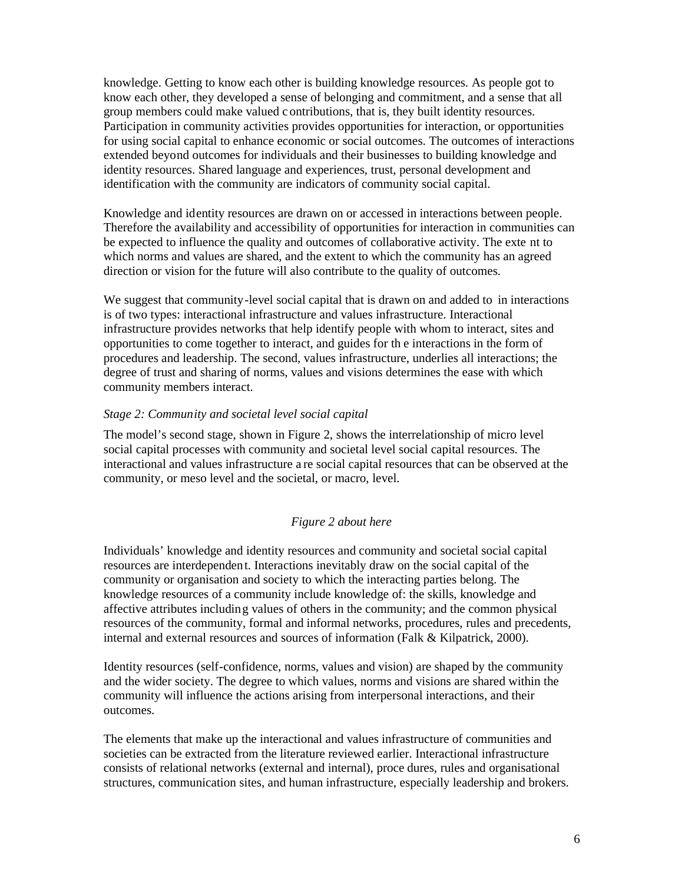knowledge. Getting to know each other is building knowledge resources. As people got to know each other, they developed a sense of belonging and commitment, and a sense that all group members could make valued c ontributions, that is, they built identity resources. Participation in community activities provides opportunities for interaction, or opportunities for using social capital to enhance economic or social outcomes. The outcomes of interactions extended beyond outcomes for individuals and their businesses to building knowledge and identity resources. Shared language and experiences, trust, personal development and identification with the community are indicators of community social capital.

Knowledge and identity resources are drawn on or accessed in interactions between people. Therefore the availability and accessibility of opportunities for interaction in communities can be expected to influence the quality and outcomes of collaborative activity. The exte nt to which norms and values are shared, and the extent to which the community has an agreed direction or vision for the future will also contribute to the quality of outcomes.

We suggest that community-level social capital that is drawn on and added to in interactions is of two types: interactional infrastructure and values infrastructure. Interactional infrastructure provides networks that help identify people with whom to interact, sites and opportunities to come together to interact, and guides for th e interactions in the form of procedures and leadership. The second, values infrastructure, underlies all interactions; the degree of trust and sharing of norms, values and visions determines the ease with which community members interact.

#### *Stage 2: Community and societal level social capital*

The model's second stage, shown in Figure 2, shows the interrelationship of micro level social capital processes with community and societal level social capital resources. The interactional and values infrastructure a re social capital resources that can be observed at the community, or meso level and the societal, or macro, level.

#### *Figure 2 about here*

Individuals' knowledge and identity resources and community and societal social capital resources are interdependent. Interactions inevitably draw on the social capital of the community or organisation and society to which the interacting parties belong. The knowledge resources of a community include knowledge of: the skills, knowledge and affective attributes including values of others in the community; and the common physical resources of the community, formal and informal networks, procedures, rules and precedents, internal and external resources and sources of information (Falk & Kilpatrick, 2000).

Identity resources (self-confidence, norms, values and vision) are shaped by the community and the wider society. The degree to which values, norms and visions are shared within the community will influence the actions arising from interpersonal interactions, and their outcomes.

The elements that make up the interactional and values infrastructure of communities and societies can be extracted from the literature reviewed earlier. Interactional infrastructure consists of relational networks (external and internal), proce dures, rules and organisational structures, communication sites, and human infrastructure, especially leadership and brokers.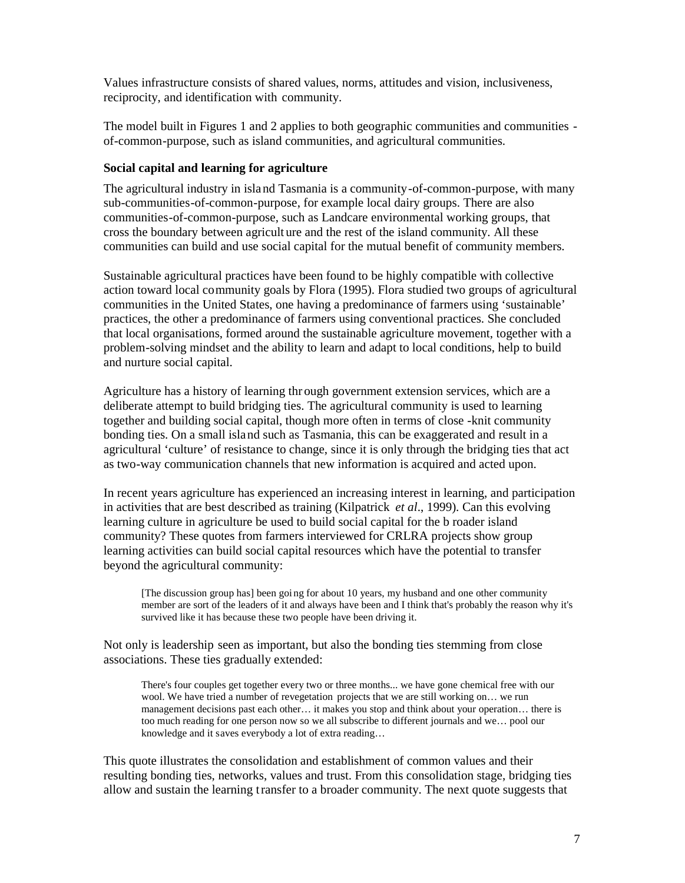Values infrastructure consists of shared values, norms, attitudes and vision, inclusiveness, reciprocity, and identification with community.

The model built in Figures 1 and 2 applies to both geographic communities and communities of-common-purpose, such as island communities, and agricultural communities.

#### **Social capital and learning for agriculture**

The agricultural industry in isla nd Tasmania is a community-of-common-purpose, with many sub-communities-of-common-purpose, for example local dairy groups. There are also communities-of-common-purpose, such as Landcare environmental working groups, that cross the boundary between agricult ure and the rest of the island community. All these communities can build and use social capital for the mutual benefit of community members.

Sustainable agricultural practices have been found to be highly compatible with collective action toward local community goals by Flora (1995). Flora studied two groups of agricultural communities in the United States, one having a predominance of farmers using 'sustainable' practices, the other a predominance of farmers using conventional practices. She concluded that local organisations, formed around the sustainable agriculture movement, together with a problem-solving mindset and the ability to learn and adapt to local conditions, help to build and nurture social capital.

Agriculture has a history of learning thr ough government extension services, which are a deliberate attempt to build bridging ties. The agricultural community is used to learning together and building social capital, though more often in terms of close -knit community bonding ties. On a small island such as Tasmania, this can be exaggerated and result in a agricultural 'culture' of resistance to change, since it is only through the bridging ties that act as two-way communication channels that new information is acquired and acted upon.

In recent years agriculture has experienced an increasing interest in learning, and participation in activities that are best described as training (Kilpatrick *et al*., 1999). Can this evolving learning culture in agriculture be used to build social capital for the b roader island community? These quotes from farmers interviewed for CRLRA projects show group learning activities can build social capital resources which have the potential to transfer beyond the agricultural community:

[The discussion group has] been goi ng for about 10 years, my husband and one other community member are sort of the leaders of it and always have been and I think that's probably the reason why it's survived like it has because these two people have been driving it.

Not only is leadership seen as important, but also the bonding ties stemming from close associations. These ties gradually extended:

There's four couples get together every two or three months... we have gone chemical free with our wool. We have tried a number of revegetation projects that we are still working on… we run management decisions past each other… it makes you stop and think about your operation… there is too much reading for one person now so we all subscribe to different journals and we… pool our knowledge and it saves everybody a lot of extra reading…

This quote illustrates the consolidation and establishment of common values and their resulting bonding ties, networks, values and trust. From this consolidation stage, bridging ties allow and sustain the learning transfer to a broader community. The next quote suggests that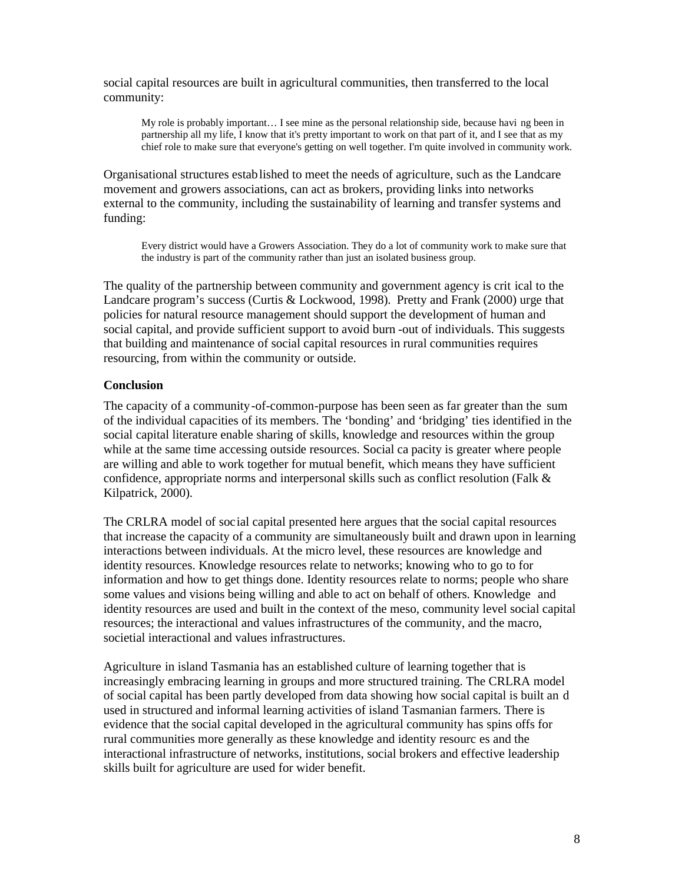social capital resources are built in agricultural communities, then transferred to the local community:

My role is probably important… I see mine as the personal relationship side, because havi ng been in partnership all my life, I know that it's pretty important to work on that part of it, and I see that as my chief role to make sure that everyone's getting on well together. I'm quite involved in community work.

Organisational structures established to meet the needs of agriculture, such as the Landcare movement and growers associations, can act as brokers, providing links into networks external to the community, including the sustainability of learning and transfer systems and funding:

Every district would have a Growers Association. They do a lot of community work to make sure that the industry is part of the community rather than just an isolated business group.

The quality of the partnership between community and government agency is crit ical to the Landcare program's success (Curtis & Lockwood, 1998). Pretty and Frank (2000) urge that policies for natural resource management should support the development of human and social capital, and provide sufficient support to avoid burn -out of individuals. This suggests that building and maintenance of social capital resources in rural communities requires resourcing, from within the community or outside.

#### **Conclusion**

The capacity of a community-of-common-purpose has been seen as far greater than the sum of the individual capacities of its members. The 'bonding' and 'bridging' ties identified in the social capital literature enable sharing of skills, knowledge and resources within the group while at the same time accessing outside resources. Social ca pacity is greater where people are willing and able to work together for mutual benefit, which means they have sufficient confidence, appropriate norms and interpersonal skills such as conflict resolution (Falk & Kilpatrick, 2000).

The CRLRA model of social capital presented here argues that the social capital resources that increase the capacity of a community are simultaneously built and drawn upon in learning interactions between individuals. At the micro level, these resources are knowledge and identity resources. Knowledge resources relate to networks; knowing who to go to for information and how to get things done. Identity resources relate to norms; people who share some values and visions being willing and able to act on behalf of others. Knowledge and identity resources are used and built in the context of the meso, community level social capital resources; the interactional and values infrastructures of the community, and the macro, societial interactional and values infrastructures.

Agriculture in island Tasmania has an established culture of learning together that is increasingly embracing learning in groups and more structured training. The CRLRA model of social capital has been partly developed from data showing how social capital is built an d used in structured and informal learning activities of island Tasmanian farmers. There is evidence that the social capital developed in the agricultural community has spins offs for rural communities more generally as these knowledge and identity resourc es and the interactional infrastructure of networks, institutions, social brokers and effective leadership skills built for agriculture are used for wider benefit.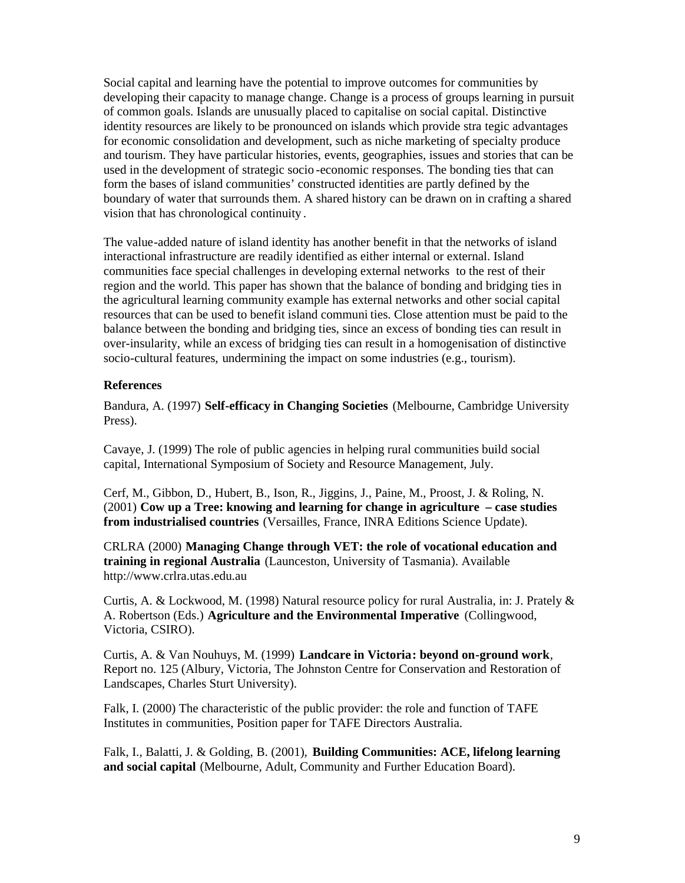Social capital and learning have the potential to improve outcomes for communities by developing their capacity to manage change. Change is a process of groups learning in pursuit of common goals. Islands are unusually placed to capitalise on social capital. Distinctive identity resources are likely to be pronounced on islands which provide stra tegic advantages for economic consolidation and development, such as niche marketing of specialty produce and tourism. They have particular histories, events, geographies, issues and stories that can be used in the development of strategic socio -economic responses. The bonding ties that can form the bases of island communities' constructed identities are partly defined by the boundary of water that surrounds them. A shared history can be drawn on in crafting a shared vision that has chronological continuity .

The value-added nature of island identity has another benefit in that the networks of island interactional infrastructure are readily identified as either internal or external. Island communities face special challenges in developing external networks to the rest of their region and the world. This paper has shown that the balance of bonding and bridging ties in the agricultural learning community example has external networks and other social capital resources that can be used to benefit island communi ties. Close attention must be paid to the balance between the bonding and bridging ties, since an excess of bonding ties can result in over-insularity, while an excess of bridging ties can result in a homogenisation of distinctive socio-cultural features, undermining the impact on some industries (e.g., tourism).

#### **References**

Bandura, A. (1997) **Self-efficacy in Changing Societies** (Melbourne, Cambridge University Press).

Cavaye, J. (1999) The role of public agencies in helping rural communities build social capital*,* International Symposium of Society and Resource Management, July.

Cerf, M., Gibbon, D., Hubert, B., Ison, R., Jiggins, J., Paine, M., Proost, J. & Roling, N. (2001) **Cow up a Tree: knowing and learning for change in agriculture – case studies from industrialised countries** (Versailles, France, INRA Editions Science Update).

CRLRA (2000) **Managing Change through VET: the role of vocational education and training in regional Australia** (Launceston, University of Tasmania). Available http://www.crlra.utas[.edu.au](http://www.crlra.utas.edu.au)

Curtis, A. & Lockwood, M. (1998) Natural resource policy for rural Australia, in: J. Prately & A. Robertson (Eds.) **Agriculture and the Environmental Imperative** (Collingwood, Victoria, CSIRO).

Curtis, A. & Van Nouhuys, M. (1999) **Landcare in Victoria: beyond on-ground work**, Report no. 125 (Albury, Victoria, The Johnston Centre for Conservation and Restoration of Landscapes, Charles Sturt University).

Falk, I. (2000) The characteristic of the public provider: the role and function of TAFE Institutes in communities, Position paper for TAFE Directors Australia.

Falk, I., Balatti, J. & Golding, B. (2001), **Building Communities: ACE, lifelong learning and social capital** (Melbourne, Adult, Community and Further Education Board).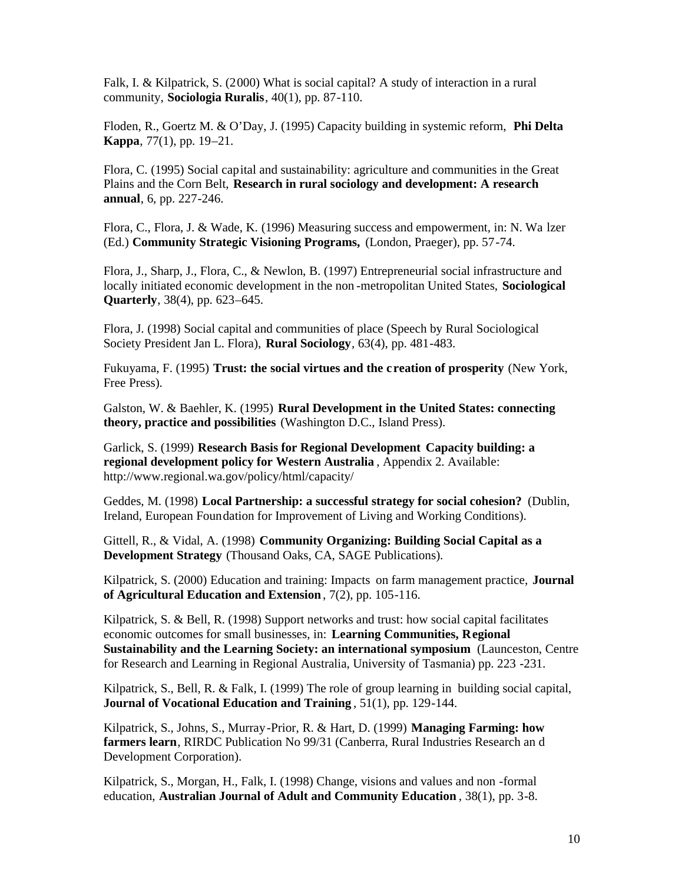Falk, I. & Kilpatrick, S. (2000) What is social capital? A study of interaction in a rural community, **Sociologia Ruralis**, 40(1), pp. 87-110.

Floden, R., Goertz M. & O'Day, J. (1995) Capacity building in systemic reform, **Phi Delta Kappa**, 77(1), pp. 19–21.

Flora, C. (1995) Social capital and sustainability: agriculture and communities in the Great Plains and the Corn Belt, **Research in rural sociology and development: A research annual**, 6, pp. 227-246.

Flora, C., Flora, J. & Wade, K. (1996) Measuring success and empowerment, in: N. Wa lzer (Ed.) **Community Strategic Visioning Programs,** (London, Praeger), pp. 57-74.

Flora, J., Sharp, J., Flora, C., & Newlon, B. (1997) Entrepreneurial social infrastructure and locally initiated economic development in the non -metropolitan United States, **Sociological Quarterly**, 38(4), pp. 623–645.

Flora, J. (1998) Social capital and communities of place (Speech by Rural Sociological Society President Jan L. Flora), **Rural Sociology**, 63(4), pp. 481-483.

Fukuyama, F. (1995) **Trust: the social virtues and the c reation of prosperity** (New York, Free Press).

Galston, W. & Baehler, K. (1995) **Rural Development in the United States: connecting theory, practice and possibilities** (Washington D.C., Island Press).

Garlick, S. (1999) **Research Basis for Regional Development Capacity building: a regional development policy for Western Australia** , Appendix 2. Available: http://www.regional.wa.gov/policy/html/capacity/

Geddes, M. (1998) **Local Partnership: a successful strategy for social cohesion?** (Dublin, Ireland, European Foundation for Improvement of Living and Working Conditions).

Gittell, R., & Vidal, A. (1998) **Community Organizing: Building Social Capital as a Development Strategy** (Thousand Oaks, CA, SAGE Publications).

Kilpatrick, S. (2000) Education and training: Impacts on farm management practice, **Journal of Agricultural Education and Extension** , 7(2), pp. 105-116.

Kilpatrick, S. & Bell, R. (1998) Support networks and trust: how social capital facilitates economic outcomes for small businesses, in: **Learning Communities, Regional Sustainability and the Learning Society: an international symposium** (Launceston, Centre for Research and Learning in Regional Australia, University of Tasmania) pp. 223 -231.

Kilpatrick, S., Bell, R. & Falk, I. (1999) The role of group learning in building social capital, **Journal of Vocational Education and Training** , 51(1), pp. 129-144.

Kilpatrick, S., Johns, S., Murray-Prior, R. & Hart, D. (1999) **Managing Farming: how farmers learn**, RIRDC Publication No 99/31 (Canberra, Rural Industries Research an d Development Corporation).

Kilpatrick, S., Morgan, H., Falk, I. (1998) Change, visions and values and non -formal education, **Australian Journal of Adult and Community Education** , 38(1), pp. 3-8.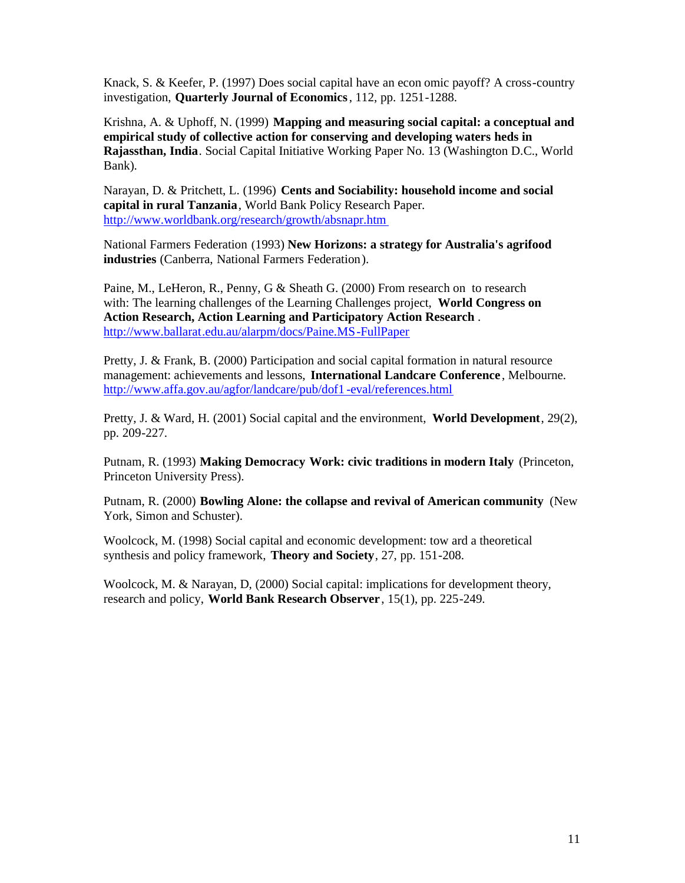Knack, S. & Keefer, P. (1997) Does social capital have an econ omic payoff? A cross-country investigation, **Quarterly Journal of Economics**, 112, pp. 1251-1288.

Krishna, A. & Uphoff, N. (1999) **Mapping and measuring social capital: a conceptual and empirical study of collective action for conserving and developing waters heds in Rajassthan, India**. Social Capital Initiative Working Paper No. 13 (Washington D.C., World Bank).

Narayan, D. & Pritchett, L. (1996) **Cents and Sociability: household income and social capital in rural Tanzania**, World Bank Policy Research Paper. htt[p://www.worldbank.org/research/growth/absnapr.htm](http://www.worldbank.org/research/growth/absnapr.htm)

National Farmers Federation (1993) **New Horizons: a strategy for Australia's agrifood industries** (Canberra, National Farmers Federation).

Paine, M., LeHeron, R., Penny, G & Sheath G. (2000) From research on to research with: The learning challenges of the Learning Challenges project, **World Congress on Action Research, Action Learning and Participatory Action Research** . http://www.ballarat[.edu.au/alarpm/docs/Paine.MS-FullPaper](http://www.ballarat.edu.au/alarpm/docs/Paine.MS-FullPaper)

Pretty, J. & Frank, B. (2000) Participation and social capital formation in natural resource management: achievements and lessons, **International Landcare Conference** , Melbourne. http://[www.affa.gov.au/agfor/landcare/pub/dof1](http://www.affa.gov.au/agfor/landcare/pub/dof1-eval/references.html) -eval/references.html

Pretty, J. & Ward, H. (2001) Social capital and the environment, **World Development**, 29(2), pp. 209-227.

Putnam, R. (1993) **Making Democracy Work: civic traditions in modern Italy** (Princeton, Princeton University Press).

Putnam, R. (2000) **Bowling Alone: the collapse and revival of American community** (New York, Simon and Schuster).

Woolcock, M. (1998) Social capital and economic development: tow ard a theoretical synthesis and policy framework, **Theory and Society**, 27, pp. 151-208.

Woolcock, M. & Narayan, D, (2000) Social capital: implications for development theory, research and policy, **World Bank Research Observer** , 15(1), pp. 225-249.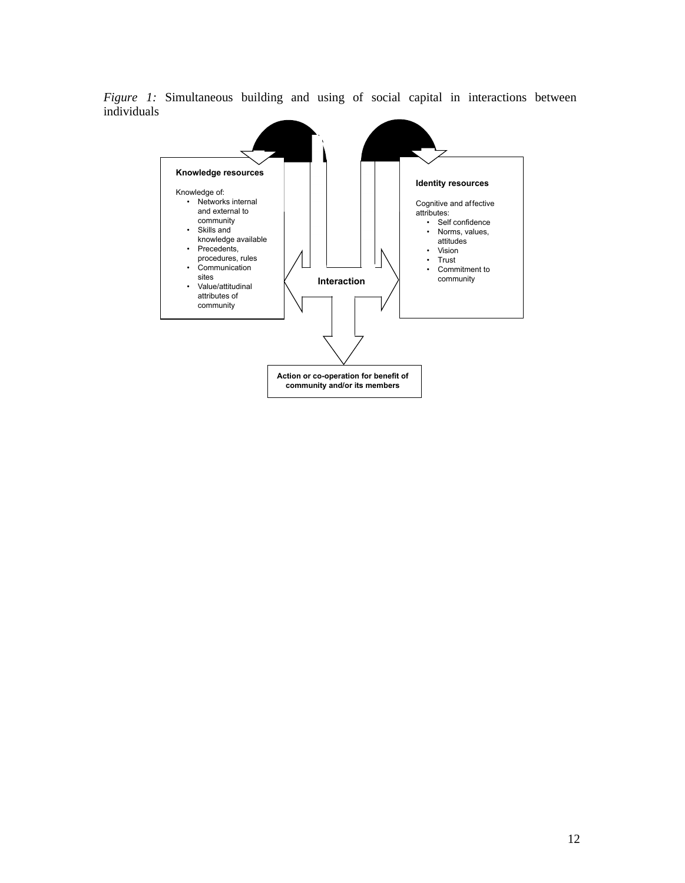*Figure 1:* Simultaneous building and using of social capital in interactions between individuals